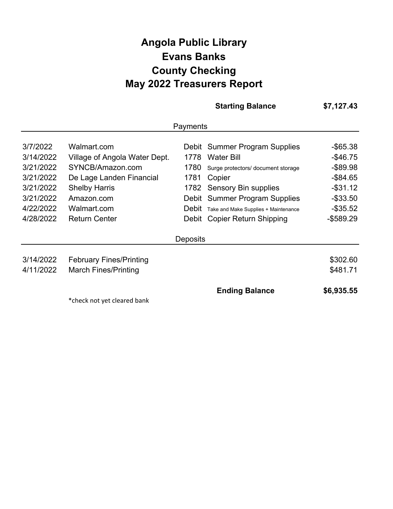## **Angola Public Library May 2022 Treasurers Report Evans Banks County Checking**

|                                     |                                                                      |                      | <b>Starting Balance</b>                                                     | \$7,127.43                                |
|-------------------------------------|----------------------------------------------------------------------|----------------------|-----------------------------------------------------------------------------|-------------------------------------------|
|                                     |                                                                      | Payments             |                                                                             |                                           |
| 3/7/2022<br>3/14/2022               | Walmart.com<br>Village of Angola Water Dept.                         | 1778                 | Debit Summer Program Supplies<br><b>Water Bill</b>                          | $-$ \$65.38<br>$-$ \$46.75                |
| 3/21/2022<br>3/21/2022<br>3/21/2022 | SYNCB/Amazon.com<br>De Lage Landen Financial<br><b>Shelby Harris</b> | 1780<br>1781<br>1782 | Surge protectors/ document storage<br>Copier<br><b>Sensory Bin supplies</b> | $-$ \$89.98<br>$-$ \$84.65<br>$-$ \$31.12 |
| 3/21/2022<br>4/22/2022              | Amazon.com<br>Walmart.com                                            | Debit                | Debit Summer Program Supplies<br>Take and Make Supplies + Maintenance       | $-$ \$33.50<br>$-$ \$35.52                |
| 4/28/2022                           | <b>Return Center</b>                                                 |                      | Debit Copier Return Shipping                                                | $-$ \$589.29                              |
|                                     |                                                                      | <b>Deposits</b>      |                                                                             |                                           |
| 3/14/2022<br>4/11/2022              | <b>February Fines/Printing</b><br><b>March Fines/Printing</b>        |                      |                                                                             | \$302.60<br>\$481.71                      |
|                                     | *check not yet cleared bank                                          |                      | <b>Ending Balance</b>                                                       | \$6,935.55                                |